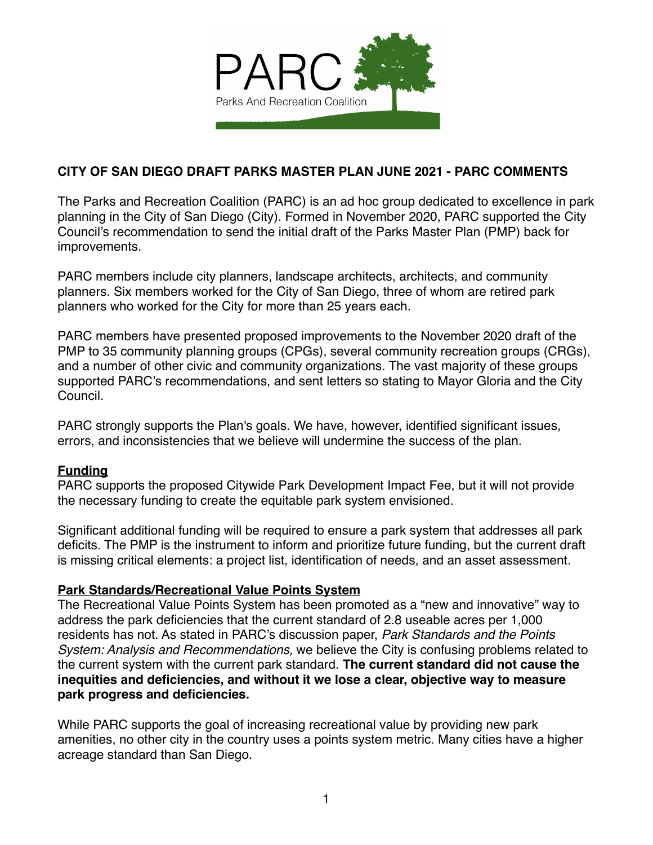

# **CITY OF SAN DIEGO DRAFT PARKS MASTER PLAN JUNE 2021 - PARC COMMENTS**

The Parks and Recreation Coalition (PARC) is an ad hoc group dedicated to excellence in park planning in the City of San Diego (City). Formed in November 2020, PARC supported the City Council's recommendation to send the initial draft of the Parks Master Plan (PMP) back for improvements.

PARC members include city planners, landscape architects, architects, and community planners. Six members worked for the City of San Diego, three of whom are retired park planners who worked for the City for more than 25 years each.

PARC members have presented proposed improvements to the November 2020 draft of the PMP to 35 community planning groups (CPGs), several community recreation groups (CRGs), and a number of other civic and community organizations. The vast majority of these groups supported PARC's recommendations, and sent letters so stating to Mayor Gloria and the City Council.

PARC strongly supports the Plan's goals. We have, however, identified significant issues, errors, and inconsistencies that we believe will undermine the success of the plan.

#### **Funding**

PARC supports the proposed Citywide Park Development Impact Fee, but it will not provide the necessary funding to create the equitable park system envisioned.

Significant additional funding will be required to ensure a park system that addresses all park deficits. The PMP is the instrument to inform and prioritize future funding, but the current draft is missing critical elements: a project list, identification of needs, and an asset assessment.

#### **Park Standards/Recreational Value Points System**

The Recreational Value Points System has been promoted as a "new and innovative" way to address the park deficiencies that the current standard of 2.8 useable acres per 1,000 residents has not. As stated in PARC's discussion paper, *Park Standards and the Points System: Analysis and Recommendations,* we believe the City is confusing problems related to the current system with the current park standard. **The current standard did not cause the inequities and deficiencies, and without it we lose a clear, objective way to measure park progress and deficiencies.**

While PARC supports the goal of increasing recreational value by providing new park amenities, no other city in the country uses a points system metric. Many cities have a higher acreage standard than San Diego.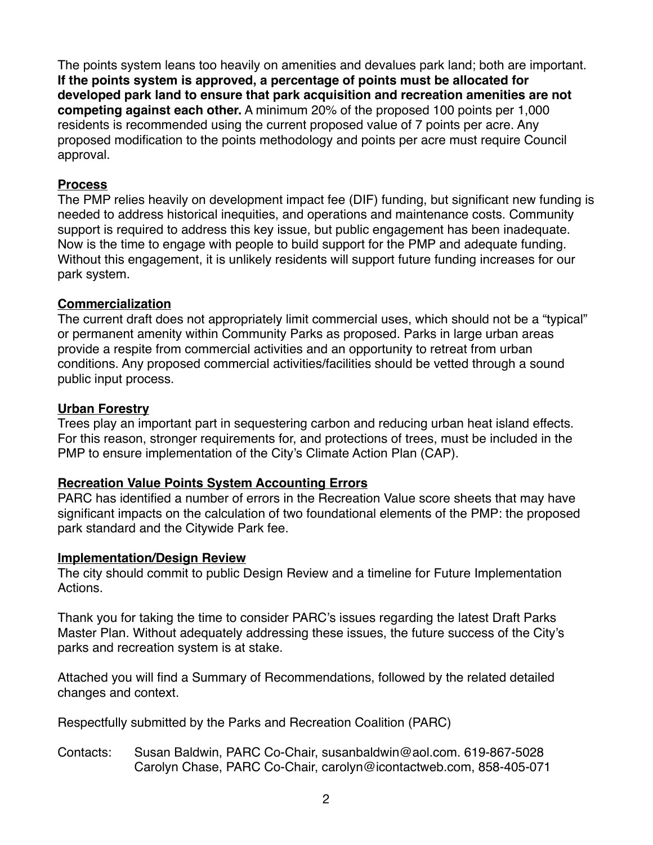The points system leans too heavily on amenities and devalues park land; both are important. **If the points system is approved, a percentage of points must be allocated for developed park land to ensure that park acquisition and recreation amenities are not competing against each other.** A minimum 20% of the proposed 100 points per 1,000 residents is recommended using the current proposed value of 7 points per acre. Any proposed modification to the points methodology and points per acre must require Council approval.

#### **Process**

The PMP relies heavily on development impact fee (DIF) funding, but significant new funding is needed to address historical inequities, and operations and maintenance costs. Community support is required to address this key issue, but public engagement has been inadequate. Now is the time to engage with people to build support for the PMP and adequate funding. Without this engagement, it is unlikely residents will support future funding increases for our park system.

#### **Commercialization**

The current draft does not appropriately limit commercial uses, which should not be a "typical" or permanent amenity within Community Parks as proposed. Parks in large urban areas provide a respite from commercial activities and an opportunity to retreat from urban conditions. Any proposed commercial activities/facilities should be vetted through a sound public input process.

#### **Urban Forestry**

Trees play an important part in sequestering carbon and reducing urban heat island effects. For this reason, stronger requirements for, and protections of trees, must be included in the PMP to ensure implementation of the City's Climate Action Plan (CAP).

# **Recreation Value Points System Accounting Errors**

PARC has identified a number of errors in the Recreation Value score sheets that may have significant impacts on the calculation of two foundational elements of the PMP: the proposed park standard and the Citywide Park fee.

# **Implementation/Design Review**

The city should commit to public Design Review and a timeline for Future Implementation Actions.

Thank you for taking the time to consider PARC's issues regarding the latest Draft Parks Master Plan. Without adequately addressing these issues, the future success of the City's parks and recreation system is at stake.

Attached you will find a Summary of Recommendations, followed by the related detailed changes and context.

Respectfully submitted by the Parks and Recreation Coalition (PARC)

Contacts: Susan Baldwin, PARC Co-Chair, susanbaldwin@aol.com. 619-867-5028 Carolyn Chase, PARC Co-Chair, carolyn@icontactweb.com, 858-405-071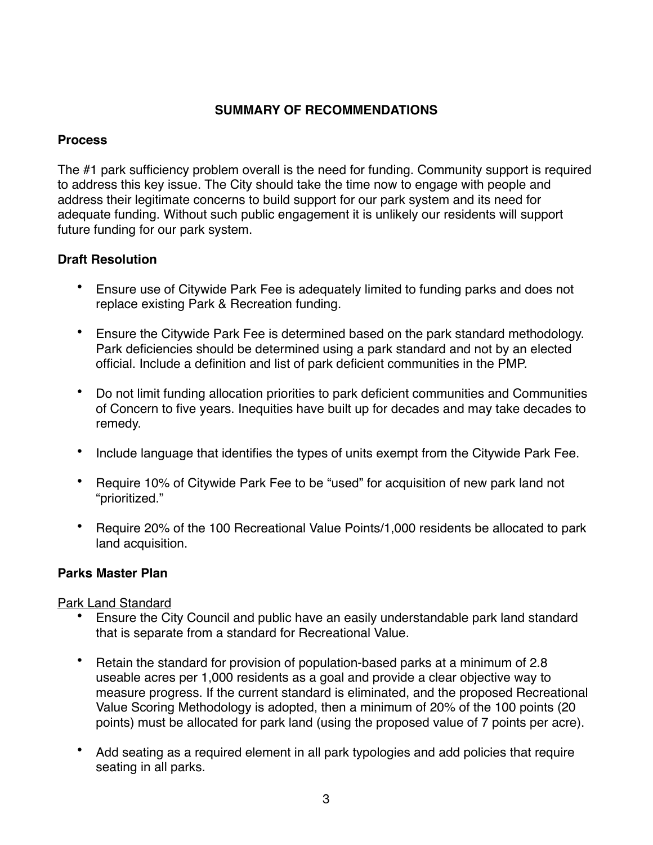# **SUMMARY OF RECOMMENDATIONS**

# **Process**

The #1 park sufficiency problem overall is the need for funding. Community support is required to address this key issue. The City should take the time now to engage with people and address their legitimate concerns to build support for our park system and its need for adequate funding. Without such public engagement it is unlikely our residents will support future funding for our park system.

# **Draft Resolution**

- Ensure use of Citywide Park Fee is adequately limited to funding parks and does not replace existing Park & Recreation funding.
- Ensure the Citywide Park Fee is determined based on the park standard methodology. Park deficiencies should be determined using a park standard and not by an elected official. Include a definition and list of park deficient communities in the PMP.
- Do not limit funding allocation priorities to park deficient communities and Communities of Concern to five years. Inequities have built up for decades and may take decades to remedy.
- Include language that identifies the types of units exempt from the Citywide Park Fee.
- Require 10% of Citywide Park Fee to be "used" for acquisition of new park land not "prioritized."
- Require 20% of the 100 Recreational Value Points/1,000 residents be allocated to park land acquisition.

# **Parks Master Plan**

Park Land Standard

- Ensure the City Council and public have an easily understandable park land standard that is separate from a standard for Recreational Value.
- Retain the standard for provision of population-based parks at a minimum of 2.8 useable acres per 1,000 residents as a goal and provide a clear objective way to measure progress. If the current standard is eliminated, and the proposed Recreational Value Scoring Methodology is adopted, then a minimum of 20% of the 100 points (20 points) must be allocated for park land (using the proposed value of 7 points per acre).
- Add seating as a required element in all park typologies and add policies that require seating in all parks.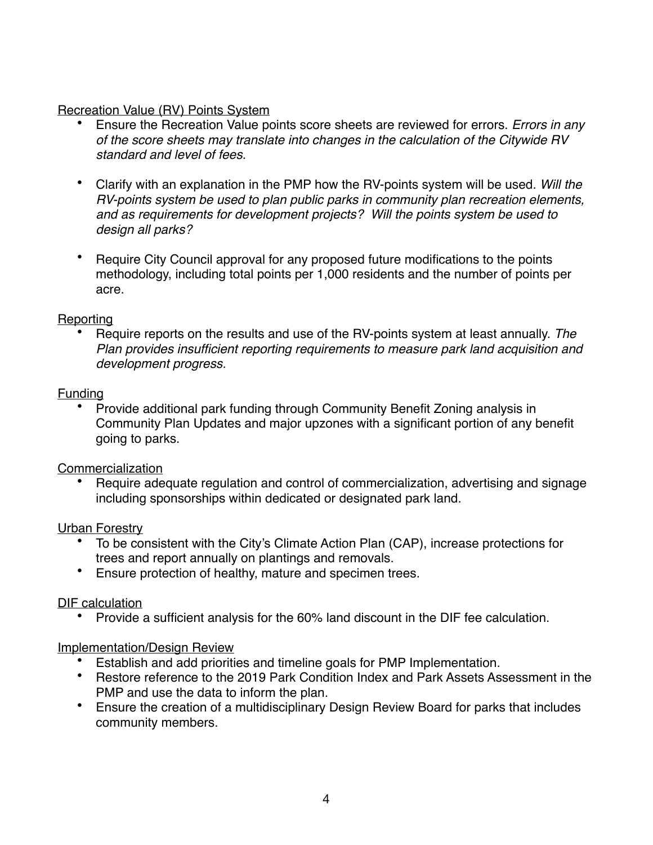# Recreation Value (RV) Points System

- Ensure the Recreation Value points score sheets are reviewed for errors. *Errors in any of the score sheets may translate into changes in the calculation of the Citywide RV standard and level of fees.*
- Clarify with an explanation in the PMP how the RV-points system will be used. *Will the RV-points system be used to plan public parks in community plan recreation elements, and as requirements for development projects? Will the points system be used to design all parks?*
- Require City Council approval for any proposed future modifications to the points methodology, including total points per 1,000 residents and the number of points per acre.

# **Reporting**

• Require reports on the results and use of the RV-points system at least annually. *The Plan provides insufficient reporting requirements to measure park land acquisition and development progress.*

# Funding

• Provide additional park funding through Community Benefit Zoning analysis in Community Plan Updates and major upzones with a significant portion of any benefit going to parks.

# Commercialization

• Require adequate regulation and control of commercialization, advertising and signage including sponsorships within dedicated or designated park land.

# Urban Forestry

- To be consistent with the City's Climate Action Plan (CAP), increase protections for trees and report annually on plantings and removals.
- Ensure protection of healthy, mature and specimen trees.

# DIF calculation

• Provide a sufficient analysis for the 60% land discount in the DIF fee calculation.

# Implementation/Design Review

- Establish and add priorities and timeline goals for PMP Implementation.
- Restore reference to the 2019 Park Condition Index and Park Assets Assessment in the PMP and use the data to inform the plan.
- Ensure the creation of a multidisciplinary Design Review Board for parks that includes community members.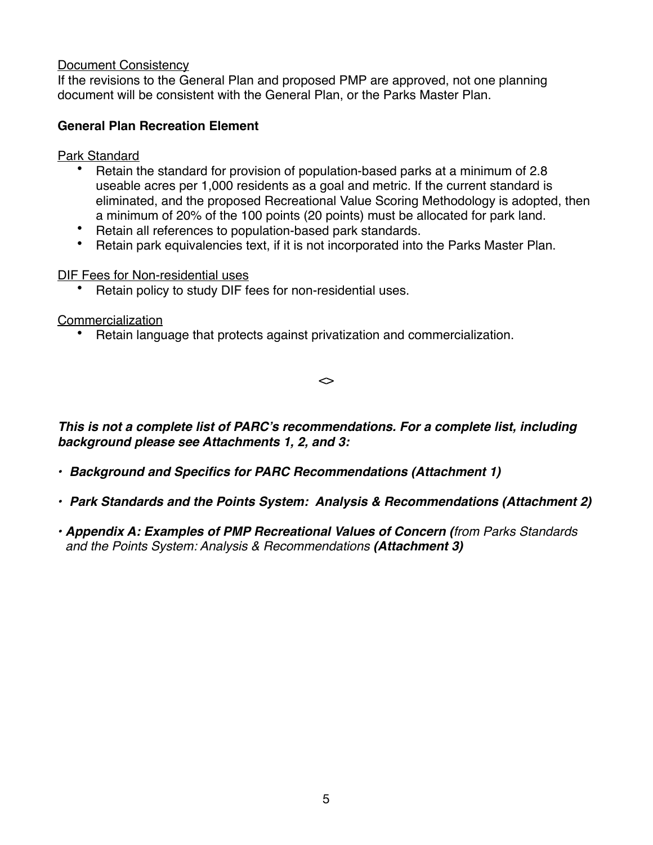#### Document Consistency

If the revisions to the General Plan and proposed PMP are approved, not one planning document will be consistent with the General Plan, or the Parks Master Plan.

#### **General Plan Recreation Element**

Park Standard

- Retain the standard for provision of population-based parks at a minimum of 2.8 useable acres per 1,000 residents as a goal and metric. If the current standard is eliminated, and the proposed Recreational Value Scoring Methodology is adopted, then a minimum of 20% of the 100 points (20 points) must be allocated for park land.
- Retain all references to population-based park standards.
- Retain park equivalencies text, if it is not incorporated into the Parks Master Plan.

DIF Fees for Non-residential uses

• Retain policy to study DIF fees for non-residential uses.

Commercialization

• Retain language that protects against privatization and commercialization.

 $\leftrightarrow$ 

*This is not a complete list of PARC's recommendations. For a complete list, including background please see Attachments 1, 2, and 3:*

- *• Background and Specifics for PARC Recommendations (Attachment 1)*
- *• Park Standards and the Points System: Analysis & Recommendations (Attachment 2)*
- *• Appendix A: Examples of PMP Recreational Values of Concern (from Parks Standards and the Points System: Analysis & Recommendations (Attachment 3)*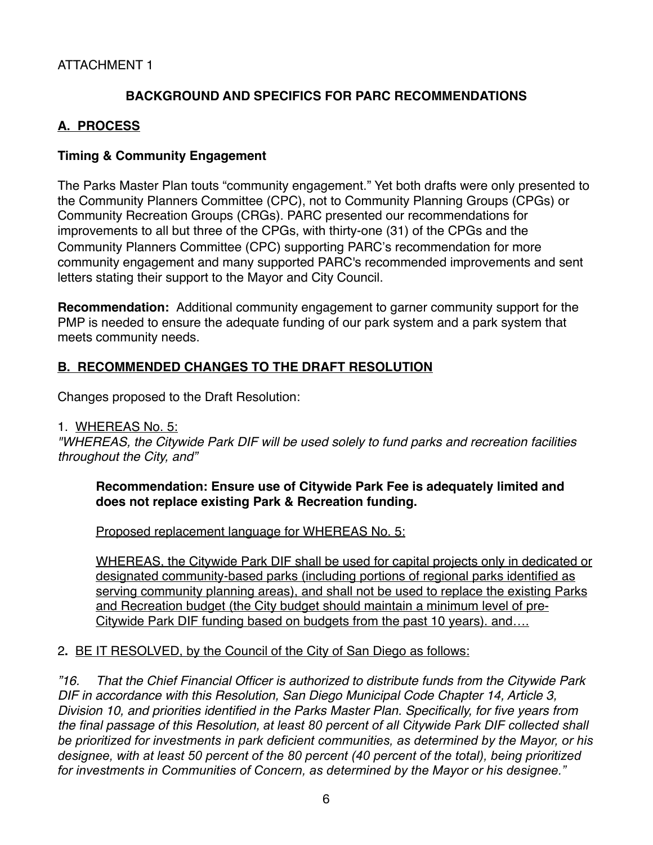# ATTACHMENT 1

# **BACKGROUND AND SPECIFICS FOR PARC RECOMMENDATIONS**

#### **A. PROCESS**

#### **Timing & Community Engagement**

The Parks Master Plan touts "community engagement." Yet both drafts were only presented to the Community Planners Committee (CPC), not to Community Planning Groups (CPGs) or Community Recreation Groups (CRGs). PARC presented our recommendations for improvements to all but three of the CPGs, with thirty-one (31) of the CPGs and the Community Planners Committee (CPC) supporting PARC's recommendation for more community engagement and many supported PARC's recommended improvements and sent letters stating their support to the Mayor and City Council.

**Recommendation:** Additional community engagement to garner community support for the PMP is needed to ensure the adequate funding of our park system and a park system that meets community needs.

# **B. RECOMMENDED CHANGES TO THE DRAFT RESOLUTION**

Changes proposed to the Draft Resolution:

#### 1. WHEREAS No. 5:

*"WHEREAS, the Citywide Park DIF will be used solely to fund parks and recreation facilities throughout the City, and"*

#### **Recommendation: Ensure use of Citywide Park Fee is adequately limited and does not replace existing Park & Recreation funding.**

Proposed replacement language for WHEREAS No. 5:

WHEREAS, the Citywide Park DIF shall be used for capital projects only in dedicated or designated community-based parks (including portions of regional parks identified as serving community planning areas), and shall not be used to replace the existing Parks and Recreation budget (the City budget should maintain a minimum level of pre-Citywide Park DIF funding based on budgets from the past 10 years). and….

#### 2**.** BE IT RESOLVED, by the Council of the City of San Diego as follows:

*"16. That the Chief Financial Officer is authorized to distribute funds from the Citywide Park DIF in accordance with this Resolution, San Diego Municipal Code Chapter 14, Article 3, Division 10, and priorities identified in the Parks Master Plan. Specifically, for five years from the final passage of this Resolution, at least 80 percent of all Citywide Park DIF collected shall be prioritized for investments in park deficient communities, as determined by the Mayor, or his designee, with at least 50 percent of the 80 percent (40 percent of the total), being prioritized for investments in Communities of Concern, as determined by the Mayor or his designee."*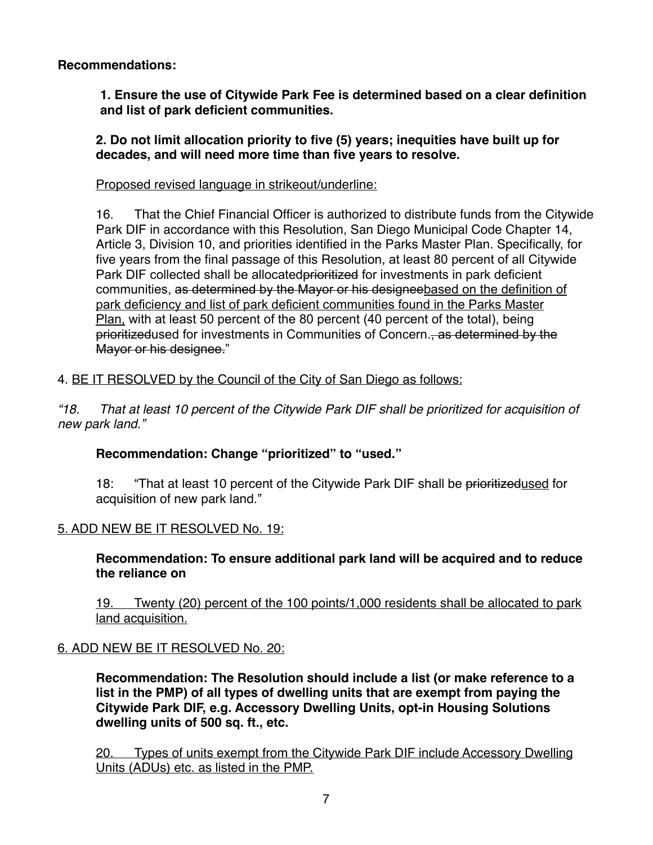**Recommendations:** 

**1. Ensure the use of Citywide Park Fee is determined based on a clear definition and list of park deficient communities.** 

**2. Do not limit allocation priority to five (5) years; inequities have built up for decades, and will need more time than five years to resolve.**

Proposed revised language in strikeout/underline:

16. That the Chief Financial Officer is authorized to distribute funds from the Citywide Park DIF in accordance with this Resolution, San Diego Municipal Code Chapter 14, Article 3, Division 10, and priorities identified in the Parks Master Plan. Specifically, for five years from the final passage of this Resolution, at least 80 percent of all Citywide Park DIF collected shall be allocated prioritized for investments in park deficient communities, as determined by the Mayor or his designeebased on the definition of park deficiency and list of park deficient communities found in the Parks Master Plan, with at least 50 percent of the 80 percent (40 percent of the total), being prioritizedused for investments in Communities of Concern., as determined by the Mayor or his designee."

# 4. BE IT RESOLVED by the Council of the City of San Diego as follows:

*"18. That at least 10 percent of the Citywide Park DIF shall be prioritized for acquisition of new park land."*

**Recommendation: Change "prioritized" to "used."**

18: "That at least 10 percent of the Citywide Park DIF shall be prioritizedused for acquisition of new park land."

# 5. ADD NEW BE IT RESOLVED No. 19:

**Recommendation: To ensure additional park land will be acquired and to reduce the reliance on** 

19. Twenty (20) percent of the 100 points/1,000 residents shall be allocated to park land acquisition.

# 6. ADD NEW BE IT RESOLVED No. 20:

**Recommendation: The Resolution should include a list (or make reference to a list in the PMP) of all types of dwelling units that are exempt from paying the Citywide Park DIF, e.g. Accessory Dwelling Units, opt-in Housing Solutions dwelling units of 500 sq. ft., etc.**

20. Types of units exempt from the Citywide Park DIF include Accessory Dwelling Units (ADUs) etc. as listed in the PMP.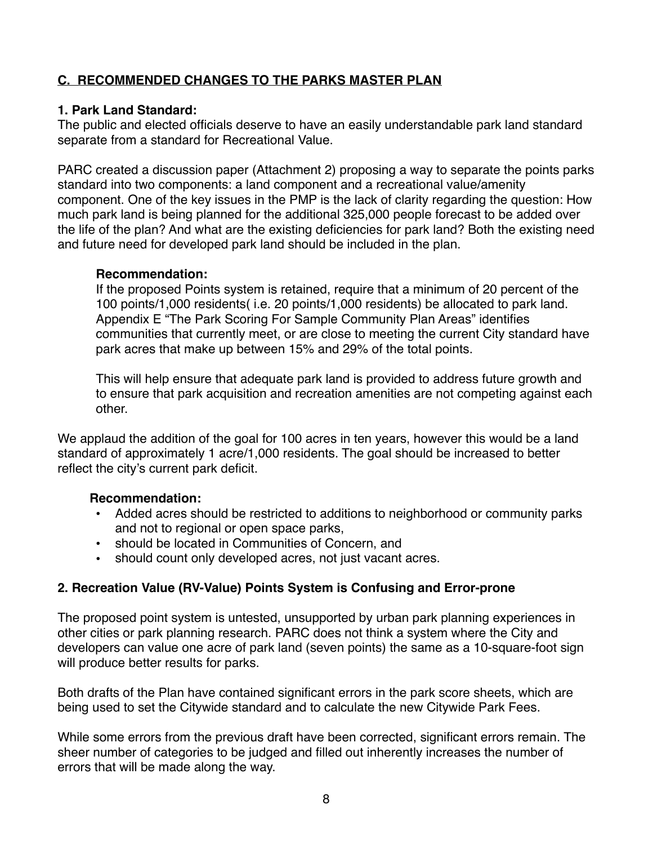# **C. RECOMMENDED CHANGES TO THE PARKS MASTER PLAN**

#### **1. Park Land Standard:**

The public and elected officials deserve to have an easily understandable park land standard separate from a standard for Recreational Value.

PARC created a discussion paper (Attachment 2) proposing a way to separate the points parks standard into two components: a land component and a recreational value/amenity component. One of the key issues in the PMP is the lack of clarity regarding the question: How much park land is being planned for the additional 325,000 people forecast to be added over the life of the plan? And what are the existing deficiencies for park land? Both the existing need and future need for developed park land should be included in the plan.

#### **Recommendation:**

If the proposed Points system is retained, require that a minimum of 20 percent of the 100 points/1,000 residents( i.e. 20 points/1,000 residents) be allocated to park land. Appendix E "The Park Scoring For Sample Community Plan Areas" identifies communities that currently meet, or are close to meeting the current City standard have park acres that make up between 15% and 29% of the total points.

This will help ensure that adequate park land is provided to address future growth and to ensure that park acquisition and recreation amenities are not competing against each other.

We applaud the addition of the goal for 100 acres in ten years, however this would be a land standard of approximately 1 acre/1,000 residents. The goal should be increased to better reflect the city's current park deficit.

# **Recommendation:**

- Added acres should be restricted to additions to neighborhood or community parks and not to regional or open space parks,
- should be located in Communities of Concern, and
- should count only developed acres, not just vacant acres.

# **2. Recreation Value (RV-Value) Points System is Confusing and Error-prone**

The proposed point system is untested, unsupported by urban park planning experiences in other cities or park planning research. PARC does not think a system where the City and developers can value one acre of park land (seven points) the same as a 10-square-foot sign will produce better results for parks.

Both drafts of the Plan have contained significant errors in the park score sheets, which are being used to set the Citywide standard and to calculate the new Citywide Park Fees.

While some errors from the previous draft have been corrected, significant errors remain. The sheer number of categories to be judged and filled out inherently increases the number of errors that will be made along the way.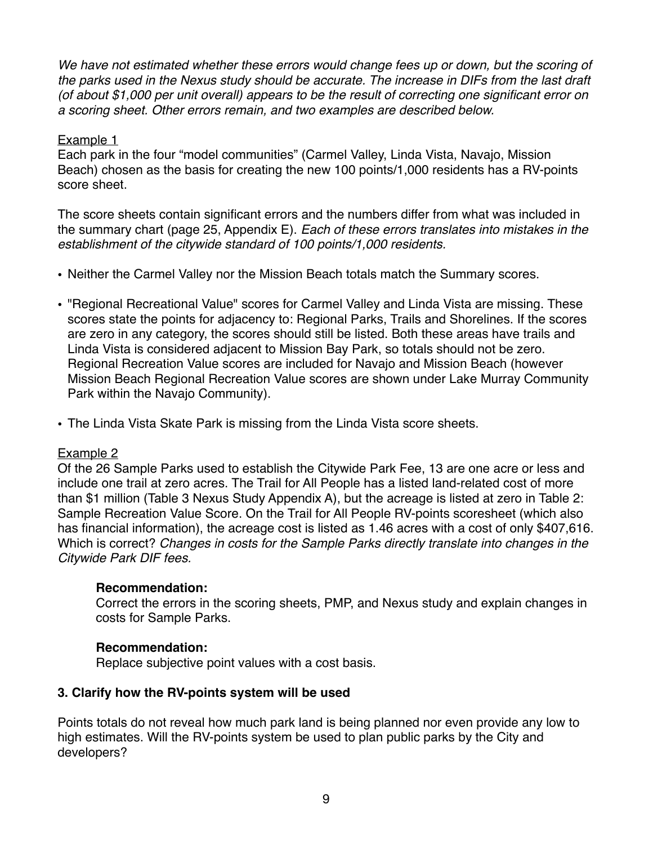We have not estimated whether these errors would change fees up or down, but the scoring of *the parks used in the Nexus study should be accurate. The increase in DIFs from the last draft (of about \$1,000 per unit overall) appears to be the result of correcting one significant error on a scoring sheet. Other errors remain, and two examples are described below.*

#### Example 1

Each park in the four "model communities" (Carmel Valley, Linda Vista, Navajo, Mission Beach) chosen as the basis for creating the new 100 points/1,000 residents has a RV-points score sheet.

The score sheets contain significant errors and the numbers differ from what was included in the summary chart (page 25, Appendix E). *Each of these errors translates into mistakes in the establishment of the citywide standard of 100 points/1,000 residents.*

- Neither the Carmel Valley nor the Mission Beach totals match the Summary scores.
- "Regional Recreational Value" scores for Carmel Valley and Linda Vista are missing. These scores state the points for adjacency to: Regional Parks, Trails and Shorelines. If the scores are zero in any category, the scores should still be listed. Both these areas have trails and Linda Vista is considered adjacent to Mission Bay Park, so totals should not be zero. Regional Recreation Value scores are included for Navajo and Mission Beach (however Mission Beach Regional Recreation Value scores are shown under Lake Murray Community Park within the Navajo Community).
- The Linda Vista Skate Park is missing from the Linda Vista score sheets.

#### Example 2

Of the 26 Sample Parks used to establish the Citywide Park Fee, 13 are one acre or less and include one trail at zero acres. The Trail for All People has a listed land-related cost of more than \$1 million (Table 3 Nexus Study Appendix A), but the acreage is listed at zero in Table 2: Sample Recreation Value Score. On the Trail for All People RV-points scoresheet (which also has financial information), the acreage cost is listed as 1.46 acres with a cost of only \$407,616. Which is correct? *Changes in costs for the Sample Parks directly translate into changes in the Citywide Park DIF fees.*

#### **Recommendation:**

Correct the errors in the scoring sheets, PMP, and Nexus study and explain changes in costs for Sample Parks.

# **Recommendation:**

Replace subjective point values with a cost basis.

# **3. Clarify how the RV-points system will be used**

Points totals do not reveal how much park land is being planned nor even provide any low to high estimates. Will the RV-points system be used to plan public parks by the City and developers?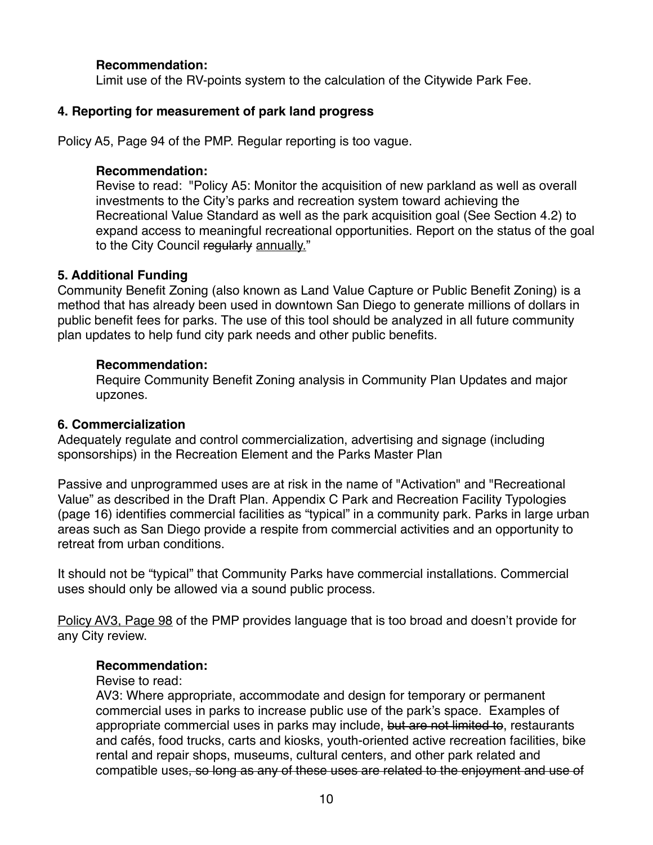#### **Recommendation:**

Limit use of the RV-points system to the calculation of the Citywide Park Fee.

#### **4. Reporting for measurement of park land progress**

Policy A5, Page 94 of the PMP. Regular reporting is too vague.

#### **Recommendation:**

Revise to read: "Policy A5: Monitor the acquisition of new parkland as well as overall investments to the City's parks and recreation system toward achieving the Recreational Value Standard as well as the park acquisition goal (See Section 4.2) to expand access to meaningful recreational opportunities. Report on the status of the goal to the City Council regularly annually."

#### **5. Additional Funding**

Community Benefit Zoning (also known as Land Value Capture or Public Benefit Zoning) is a method that has already been used in downtown San Diego to generate millions of dollars in public benefit fees for parks. The use of this tool should be analyzed in all future community plan updates to help fund city park needs and other public benefits.

#### **Recommendation:**

Require Community Benefit Zoning analysis in Community Plan Updates and major upzones.

#### **6. Commercialization**

Adequately regulate and control commercialization, advertising and signage (including sponsorships) in the Recreation Element and the Parks Master Plan

Passive and unprogrammed uses are at risk in the name of "Activation" and "Recreational Value" as described in the Draft Plan. Appendix C Park and Recreation Facility Typologies (page 16) identifies commercial facilities as "typical" in a community park. Parks in large urban areas such as San Diego provide a respite from commercial activities and an opportunity to retreat from urban conditions.

It should not be "typical" that Community Parks have commercial installations. Commercial uses should only be allowed via a sound public process.

Policy AV3, Page 98 of the PMP provides language that is too broad and doesn't provide for any City review.

#### **Recommendation:**

Revise to read:

AV3: Where appropriate, accommodate and design for temporary or permanent commercial uses in parks to increase public use of the park's space. Examples of appropriate commercial uses in parks may include, but are not limited to, restaurants and cafés, food trucks, carts and kiosks, youth-oriented active recreation facilities, bike rental and repair shops, museums, cultural centers, and other park related and compatible uses, so long as any of these uses are related to the enjoyment and use of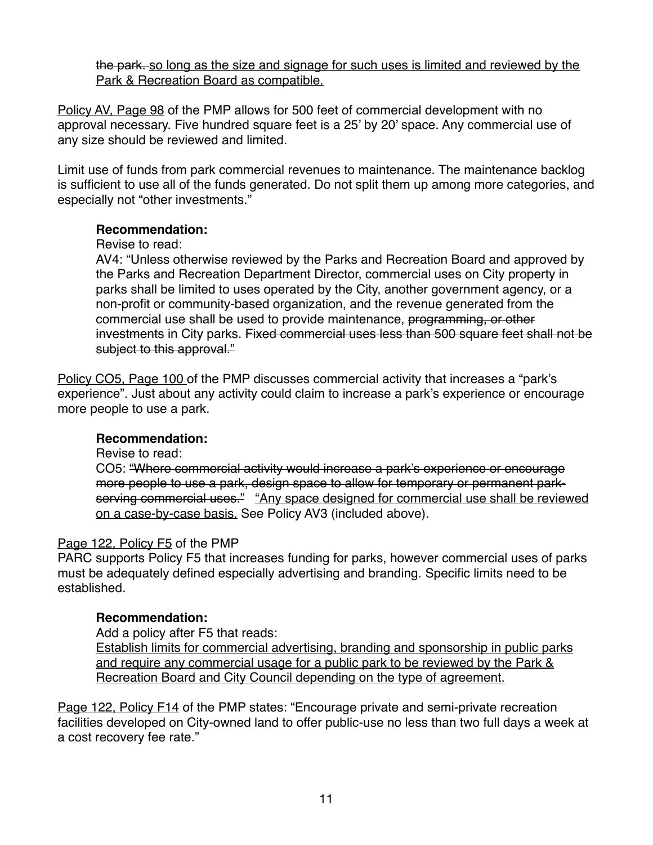the park. so long as the size and signage for such uses is limited and reviewed by the Park & Recreation Board as compatible.

Policy AV, Page 98 of the PMP allows for 500 feet of commercial development with no approval necessary. Five hundred square feet is a 25' by 20' space. Any commercial use of any size should be reviewed and limited.

Limit use of funds from park commercial revenues to maintenance. The maintenance backlog is sufficient to use all of the funds generated. Do not split them up among more categories, and especially not "other investments."

#### **Recommendation:**

#### Revise to read:

AV4: "Unless otherwise reviewed by the Parks and Recreation Board and approved by the Parks and Recreation Department Director, commercial uses on City property in parks shall be limited to uses operated by the City, another government agency, or a non-profit or community-based organization, and the revenue generated from the commercial use shall be used to provide maintenance, programming, or other investments in City parks. Fixed commercial uses less than 500 square feet shall not be subject to this approval."

Policy CO5, Page 100 of the PMP discusses commercial activity that increases a "park's experience". Just about any activity could claim to increase a park's experience or encourage more people to use a park.

# **Recommendation:**

Revise to read:

CO5: "Where commercial activity would increase a park's experience or encourage more people to use a park, design space to allow for temporary or permanent parkserving commercial uses." "Any space designed for commercial use shall be reviewed on a case-by-case basis. See Policy AV3 (included above).

# Page 122, Policy F5 of the PMP

PARC supports Policy F5 that increases funding for parks, however commercial uses of parks must be adequately defined especially advertising and branding. Specific limits need to be established.

# **Recommendation:**

Add a policy after F5 that reads:

Establish limits for commercial advertising, branding and sponsorship in public parks and require any commercial usage for a public park to be reviewed by the Park & Recreation Board and City Council depending on the type of agreement.

Page 122, Policy F14 of the PMP states: "Encourage private and semi-private recreation facilities developed on City-owned land to offer public-use no less than two full days a week at a cost recovery fee rate."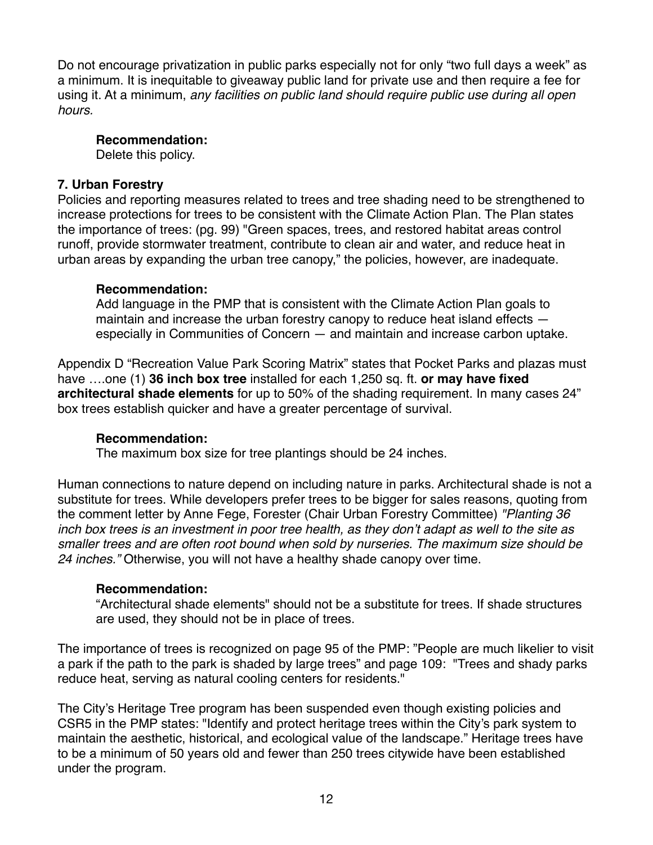Do not encourage privatization in public parks especially not for only "two full days a week" as a minimum. It is inequitable to giveaway public land for private use and then require a fee for using it. At a minimum, *any facilities on public land should require public use during all open hours.* 

#### **Recommendation:**

Delete this policy.

#### **7. Urban Forestry**

Policies and reporting measures related to trees and tree shading need to be strengthened to increase protections for trees to be consistent with the Climate Action Plan. The Plan states the importance of trees: (pg. 99) "Green spaces, trees, and restored habitat areas control runoff, provide stormwater treatment, contribute to clean air and water, and reduce heat in urban areas by expanding the urban tree canopy," the policies, however, are inadequate.

#### **Recommendation:**

Add language in the PMP that is consistent with the Climate Action Plan goals to maintain and increase the urban forestry canopy to reduce heat island effects especially in Communities of Concern — and maintain and increase carbon uptake.

Appendix D "Recreation Value Park Scoring Matrix" states that Pocket Parks and plazas must have ….one (1) **36 inch box tree** installed for each 1,250 sq. ft. **or may have fixed architectural shade elements** for up to 50% of the shading requirement. In many cases 24" box trees establish quicker and have a greater percentage of survival.

#### **Recommendation:**

The maximum box size for tree plantings should be 24 inches.

Human connections to nature depend on including nature in parks. Architectural shade is not a substitute for trees. While developers prefer trees to be bigger for sales reasons, quoting from the comment letter by Anne Fege, Forester (Chair Urban Forestry Committee) *"Planting 36 inch box trees is an investment in poor tree health, as they don't adapt as well to the site as smaller trees and are often root bound when sold by nurseries. The maximum size should be 24 inches."* Otherwise, you will not have a healthy shade canopy over time.

#### **Recommendation:**

"Architectural shade elements" should not be a substitute for trees. If shade structures are used, they should not be in place of trees.

The importance of trees is recognized on page 95 of the PMP: "People are much likelier to visit a park if the path to the park is shaded by large trees" and page 109: "Trees and shady parks reduce heat, serving as natural cooling centers for residents."

The City's Heritage Tree program has been suspended even though existing policies and CSR5 in the PMP states: "Identify and protect heritage trees within the City's park system to maintain the aesthetic, historical, and ecological value of the landscape." Heritage trees have to be a minimum of 50 years old and fewer than 250 trees citywide have been established under the program.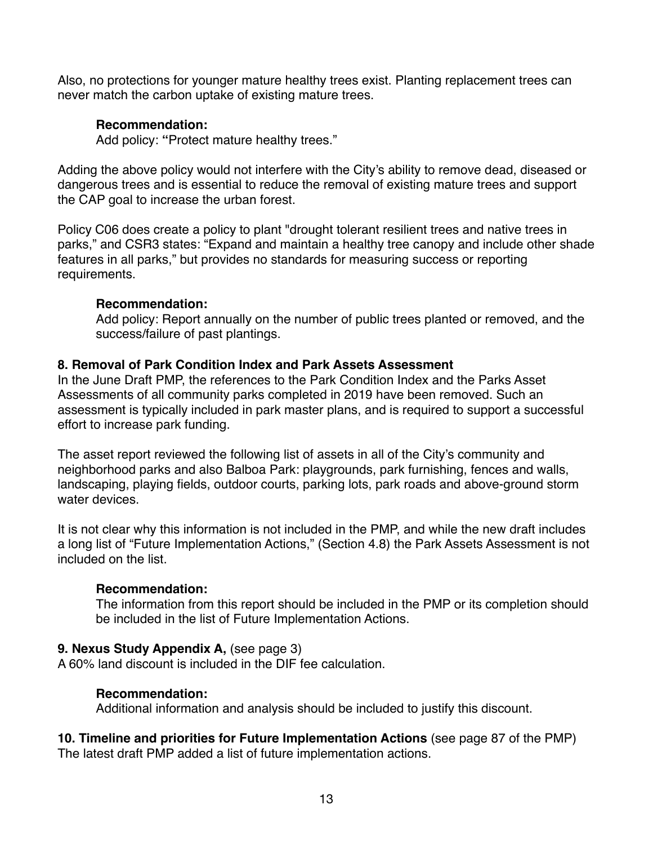Also, no protections for younger mature healthy trees exist. Planting replacement trees can never match the carbon uptake of existing mature trees.

#### **Recommendation:**

Add policy: **"**Protect mature healthy trees."

Adding the above policy would not interfere with the City's ability to remove dead, diseased or dangerous trees and is essential to reduce the removal of existing mature trees and support the CAP goal to increase the urban forest.

Policy C06 does create a policy to plant "drought tolerant resilient trees and native trees in parks," and CSR3 states: "Expand and maintain a healthy tree canopy and include other shade features in all parks," but provides no standards for measuring success or reporting requirements.

#### **Recommendation:**

Add policy: Report annually on the number of public trees planted or removed, and the success/failure of past plantings.

#### **8. Removal of Park Condition Index and Park Assets Assessment**

In the June Draft PMP, the references to the Park Condition Index and the Parks Asset Assessments of all community parks completed in 2019 have been removed. Such an assessment is typically included in park master plans, and is required to support a successful effort to increase park funding.

The asset report reviewed the following list of assets in all of the City's community and neighborhood parks and also Balboa Park: playgrounds, park furnishing, fences and walls, landscaping, playing fields, outdoor courts, parking lots, park roads and above-ground storm water devices.

It is not clear why this information is not included in the PMP, and while the new draft includes a long list of "Future Implementation Actions," (Section 4.8) the Park Assets Assessment is not included on the list.

#### **Recommendation:**

The information from this report should be included in the PMP or its completion should be included in the list of Future Implementation Actions.

#### **9. Nexus Study Appendix A,** (see page 3)

A 60% land discount is included in the DIF fee calculation.

#### **Recommendation:**

Additional information and analysis should be included to justify this discount.

**10. Timeline and priorities for Future Implementation Actions** (see page 87 of the PMP) The latest draft PMP added a list of future implementation actions.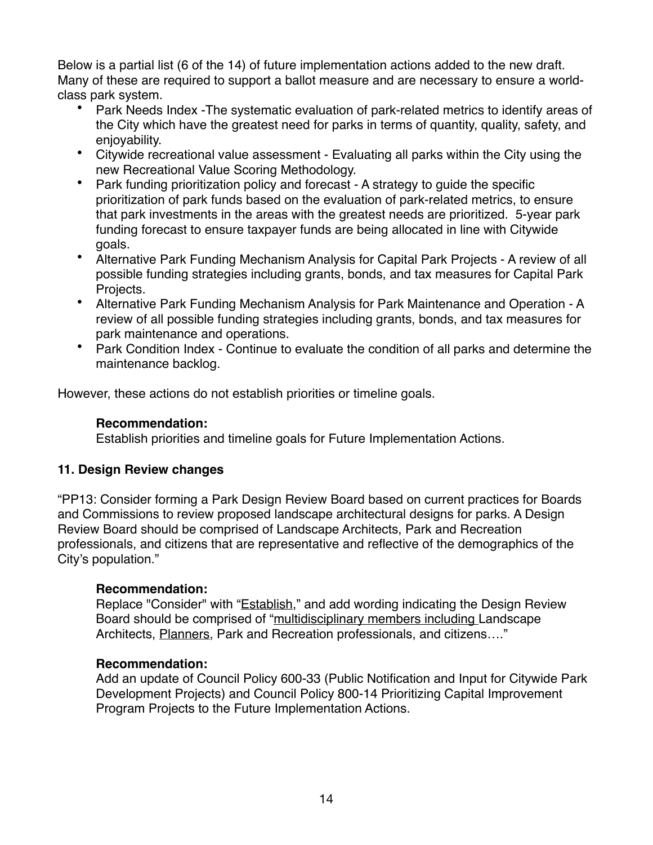Below is a partial list (6 of the 14) of future implementation actions added to the new draft. Many of these are required to support a ballot measure and are necessary to ensure a worldclass park system.

- Park Needs Index -The systematic evaluation of park-related metrics to identify areas of the City which have the greatest need for parks in terms of quantity, quality, safety, and enjoyability.
- Citywide recreational value assessment Evaluating all parks within the City using the new Recreational Value Scoring Methodology.
- Park funding prioritization policy and forecast A strategy to guide the specific prioritization of park funds based on the evaluation of park-related metrics, to ensure that park investments in the areas with the greatest needs are prioritized. 5-year park funding forecast to ensure taxpayer funds are being allocated in line with Citywide goals.
- Alternative Park Funding Mechanism Analysis for Capital Park Projects A review of all possible funding strategies including grants, bonds, and tax measures for Capital Park Projects.
- Alternative Park Funding Mechanism Analysis for Park Maintenance and Operation A review of all possible funding strategies including grants, bonds, and tax measures for park maintenance and operations.
- Park Condition Index Continue to evaluate the condition of all parks and determine the maintenance backlog.

However, these actions do not establish priorities or timeline goals.

#### **Recommendation:**

Establish priorities and timeline goals for Future Implementation Actions.

# **11. Design Review changes**

"PP13: Consider forming a Park Design Review Board based on current practices for Boards and Commissions to review proposed landscape architectural designs for parks. A Design Review Board should be comprised of Landscape Architects, Park and Recreation professionals, and citizens that are representative and reflective of the demographics of the City's population."

# **Recommendation:**

Replace "Consider" with "**Establish**," and add wording indicating the Design Review Board should be comprised of "multidisciplinary members including Landscape Architects, Planners, Park and Recreation professionals, and citizens...."

#### **Recommendation:**

Add an update of Council Policy 600-33 (Public Notification and Input for Citywide Park Development Projects) and Council Policy 800-14 Prioritizing Capital Improvement Program Projects to the Future Implementation Actions.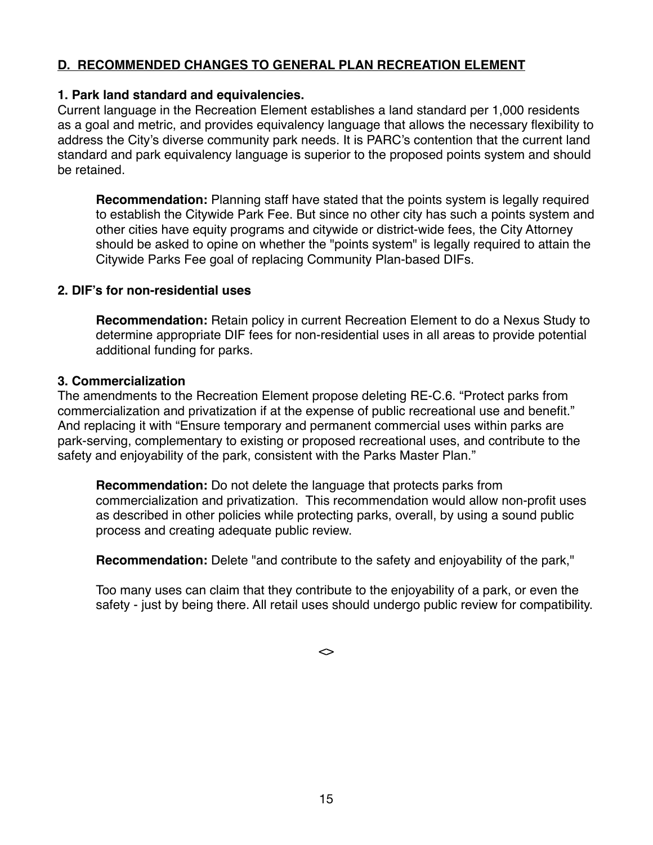# **D. RECOMMENDED CHANGES TO GENERAL PLAN RECREATION ELEMENT**

#### **1. Park land standard and equivalencies.**

Current language in the Recreation Element establishes a land standard per 1,000 residents as a goal and metric, and provides equivalency language that allows the necessary flexibility to address the City's diverse community park needs. It is PARC's contention that the current land standard and park equivalency language is superior to the proposed points system and should be retained.

**Recommendation:** Planning staff have stated that the points system is legally required to establish the Citywide Park Fee. But since no other city has such a points system and other cities have equity programs and citywide or district-wide fees, the City Attorney should be asked to opine on whether the "points system" is legally required to attain the Citywide Parks Fee goal of replacing Community Plan-based DIFs.

#### **2. DIF's for non-residential uses**

**Recommendation:** Retain policy in current Recreation Element to do a Nexus Study to determine appropriate DIF fees for non-residential uses in all areas to provide potential additional funding for parks.

#### **3. Commercialization**

The amendments to the Recreation Element propose deleting RE-C.6. "Protect parks from commercialization and privatization if at the expense of public recreational use and benefit." And replacing it with "Ensure temporary and permanent commercial uses within parks are park-serving, complementary to existing or proposed recreational uses, and contribute to the safety and enjoyability of the park, consistent with the Parks Master Plan."

**Recommendation:** Do not delete the language that protects parks from commercialization and privatization. This recommendation would allow non-profit uses as described in other policies while protecting parks, overall, by using a sound public process and creating adequate public review.

**Recommendation:** Delete "and contribute to the safety and enjoyability of the park,"

Too many uses can claim that they contribute to the enjoyability of a park, or even the safety - just by being there. All retail uses should undergo public review for compatibility.

 $\leftrightarrow$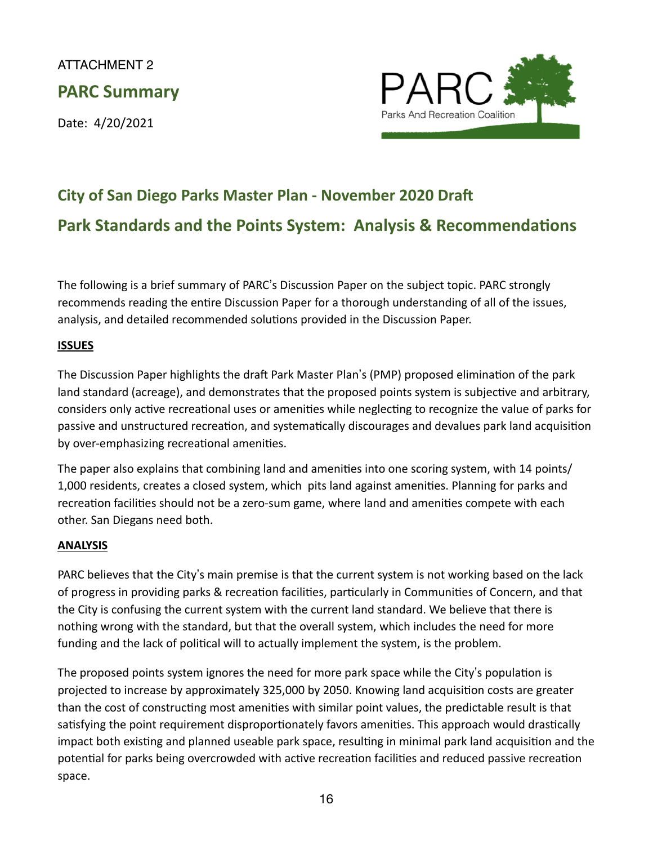# ATTACHMENT 2 **PARC Summary**

Date: 4/20/2021



# **City of San Diego Parks Master Plan - November 2020 Draft Park Standards and the Points System: Analysis & Recommendations**

The following is a brief summary of PARC's Discussion Paper on the subject topic. PARC strongly recommends reading the entire Discussion Paper for a thorough understanding of all of the issues, analysis, and detailed recommended solutions provided in the Discussion Paper.

# **ISSUES**

The Discussion Paper highlights the draft Park Master Plan's (PMP) proposed elimination of the park land standard (acreage), and demonstrates that the proposed points system is subjective and arbitrary, considers only active recreational uses or amenities while neglecting to recognize the value of parks for passive and unstructured recreation, and systematically discourages and devalues park land acquisition by over-emphasizing recreational amenities.

The paper also explains that combining land and amenities into one scoring system, with 14 points/ 1,000 residents, creates a closed system, which pits land against amenities. Planning for parks and recreation facilities should not be a zero-sum game, where land and amenities compete with each other. San Diegans need both.

#### **ANALYSIS**

PARC believes that the City's main premise is that the current system is not working based on the lack of progress in providing parks & recreation facilities, particularly in Communities of Concern, and that the City is confusing the current system with the current land standard. We believe that there is nothing wrong with the standard, but that the overall system, which includes the need for more funding and the lack of political will to actually implement the system, is the problem.

The proposed points system ignores the need for more park space while the City's population is projected to increase by approximately 325,000 by 2050. Knowing land acquisition costs are greater than the cost of constructing most amenities with similar point values, the predictable result is that satisfying the point requirement disproportionately favors amenities. This approach would drastically impact both existing and planned useable park space, resulting in minimal park land acquisition and the potential for parks being overcrowded with active recreation facilities and reduced passive recreation space.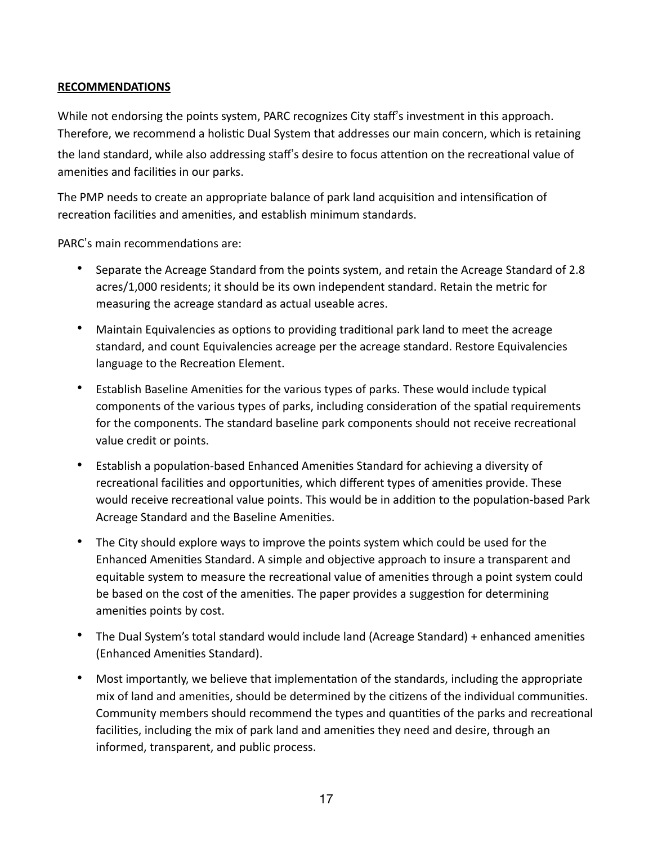#### **RECOMMENDATIONS**

While not endorsing the points system, PARC recognizes City staff's investment in this approach. Therefore, we recommend a holistic Dual System that addresses our main concern, which is retaining the land standard, while also addressing staff's desire to focus attention on the recreational value of amenities and facilities in our parks.

The PMP needs to create an appropriate balance of park land acquisition and intensification of recreation facilities and amenities, and establish minimum standards.

PARC's main recommendations are:

- Separate the Acreage Standard from the points system, and retain the Acreage Standard of 2.8 acres/1,000 residents; it should be its own independent standard. Retain the metric for measuring the acreage standard as actual useable acres.
- Maintain Equivalencies as options to providing traditional park land to meet the acreage standard, and count Equivalencies acreage per the acreage standard. Restore Equivalencies language to the Recreation Element.
- Establish Baseline Amenities for the various types of parks. These would include typical components of the various types of parks, including consideration of the spatial requirements for the components. The standard baseline park components should not receive recreational value credit or points.
- Establish a population-based Enhanced Amenities Standard for achieving a diversity of recreational facilities and opportunities, which different types of amenities provide. These would receive recreational value points. This would be in addition to the population-based Park Acreage Standard and the Baseline Amenities.
- The City should explore ways to improve the points system which could be used for the Enhanced Amenities Standard. A simple and objective approach to insure a transparent and equitable system to measure the recreational value of amenities through a point system could be based on the cost of the amenities. The paper provides a suggestion for determining amenities points by cost.
- The Dual System's total standard would include land (Acreage Standard) + enhanced amenities (Enhanced Amenities Standard).
- Most importantly, we believe that implementation of the standards, including the appropriate mix of land and amenities, should be determined by the citizens of the individual communities. Community members should recommend the types and quantities of the parks and recreational facilities, including the mix of park land and amenities they need and desire, through an informed, transparent, and public process.